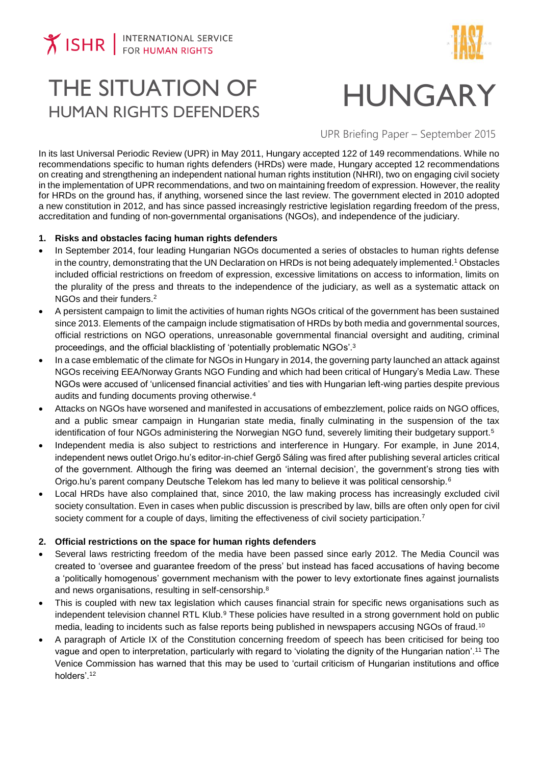

# THE SITUATION OF THE SITUATION OF **HUNGARY**<br>HUMAN RIGHTS DEFENDERS

UPR Briefing Paper – September 2015

In its last Universal Periodic Review (UPR) in May 2011, Hungary accepted 122 of 149 recommendations. While no recommendations specific to human rights defenders (HRDs) were made, Hungary accepted 12 recommendations on creating and strengthening an independent national human rights institution (NHRI), two on engaging civil society in the implementation of UPR recommendations, and two on maintaining freedom of expression. However, the reality for HRDs on the ground has, if anything, worsened since the last review. The government elected in 2010 adopted a new constitution in 2012, and has since passed increasingly restrictive legislation regarding freedom of the press, accreditation and funding of non-governmental organisations (NGOs), and independence of the judiciary.

#### **1. Risks and obstacles facing human rights defenders**

- In September 2014, four leading Hungarian NGOs documented a series of obstacles to human rights defense in the country, demonstrating that the UN Declaration on HRDs is not being adequately implemented.<sup>1</sup> Obstacles included official restrictions on freedom of expression, excessive limitations on access to information, limits on the plurality of the press and threats to the independence of the judiciary, as well as a systematic attack on NGOs and their funders.<sup>2</sup>
- A persistent campaign to limit the activities of human rights NGOs critical of the government has been sustained since 2013. Elements of the campaign include stigmatisation of HRDs by both media and governmental sources, official restrictions on NGO operations, unreasonable governmental financial oversight and auditing, criminal proceedings, and the official blacklisting of 'potentially problematic NGOs'.<sup>3</sup>
- In a case emblematic of the climate for NGOs in Hungary in 2014, the governing party launched an attack against NGOs receiving EEA/Norway Grants NGO Funding and which had been critical of Hungary's Media Law. These NGOs were accused of 'unlicensed financial activities' and ties with Hungarian left-wing parties despite previous audits and funding documents proving otherwise.<sup>4</sup>
- Attacks on NGOs have worsened and manifested in accusations of embezzlement, police raids on NGO offices, and a public smear campaign in Hungarian state media, finally culminating in the suspension of the tax identification of four NGOs administering the Norwegian NGO fund, severely limiting their budgetary support.<sup>5</sup>
- Independent media is also subject to restrictions and interference in Hungary. For example, in June 2014, independent news outlet Origo.hu's editor-in-chief Gergő Sáling was fired after publishing several articles critical of the government. Although the firing was deemed an 'internal decision', the government's strong ties with Origo.hu's parent company Deutsche Telekom has led many to believe it was political censorship.<sup>6</sup>
- Local HRDs have also complained that, since 2010, the law making process has increasingly excluded civil society consultation. Even in cases when public discussion is prescribed by law, bills are often only open for civil society comment for a couple of days, limiting the effectiveness of civil society participation.<sup>7</sup>

## **2. Official restrictions on the space for human rights defenders**

- Several laws restricting freedom of the media have been passed since early 2012. The Media Council was created to 'oversee and guarantee freedom of the press' but instead has faced accusations of having become a 'politically homogenous' government mechanism with the power to levy extortionate fines against journalists and news organisations, resulting in self-censorship.<sup>8</sup>
- This is coupled with new tax legislation which causes financial strain for specific news organisations such as independent television channel RTL Klub.<sup>9</sup> These policies have resulted in a strong government hold on public media, leading to incidents such as false reports being published in newspapers accusing NGOs of fraud.<sup>10</sup>
- A paragraph of Article IX of the Constitution concerning freedom of speech has been criticised for being too vague and open to interpretation, particularly with regard to 'violating the dignity of the Hungarian nation'.<sup>11</sup> The Venice Commission has warned that this may be used to 'curtail criticism of Hungarian institutions and office holders'.12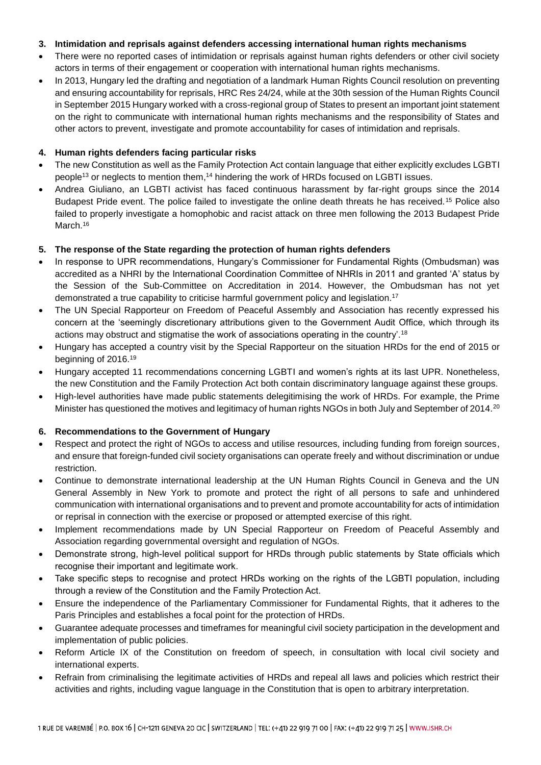#### **3. Intimidation and reprisals against defenders accessing international human rights mechanisms**

- There were no reported cases of intimidation or reprisals against human rights defenders or other civil society actors in terms of their engagement or cooperation with international human rights mechanisms.
- In 2013, Hungary led the drafting and negotiation of a landmark Human Rights Council resolution on preventing and ensuring accountability for reprisals, HRC Res 24/24, while at the 30th session of the Human Rights Council in September 2015 Hungary worked with a cross-regional group of States to present an important joint statement on the right to communicate with international human rights mechanisms and the responsibility of States and other actors to prevent, investigate and promote accountability for cases of intimidation and reprisals.

#### **4. Human rights defenders facing particular risks**

- The new Constitution as well as the Family Protection Act contain language that either explicitly excludes LGBTI people<sup>13</sup> or neglects to mention them,<sup>14</sup> hindering the work of HRDs focused on LGBTI issues.
- Andrea Giuliano, an LGBTI activist has faced continuous harassment by far-right groups since the 2014 Budapest Pride event. The police failed to investigate the online death threats he has received.<sup>15</sup> Police also failed to properly investigate a homophobic and racist attack on three men following the 2013 Budapest Pride March.<sup>16</sup>

#### **5. The response of the State regarding the protection of human rights defenders**

- In response to UPR recommendations, Hungary's Commissioner for Fundamental Rights (Ombudsman) was accredited as a NHRI by the International Coordination Committee of NHRIs in 2011 and granted 'A' status by the Session of the Sub-Committee on Accreditation in 2014. However, the Ombudsman has not yet demonstrated a true capability to criticise harmful government policy and legislation.<sup>17</sup>
- The UN Special Rapporteur on Freedom of Peaceful Assembly and Association has recently expressed his concern at the 'seemingly discretionary attributions given to the Government Audit Office, which through its actions may obstruct and stigmatise the work of associations operating in the country'.<sup>18</sup>
- Hungary has accepted a country visit by the Special Rapporteur on the situation HRDs for the end of 2015 or beginning of 2016.<sup>19</sup>
- Hungary accepted 11 recommendations concerning LGBTI and women's rights at its last UPR. Nonetheless, the new Constitution and the Family Protection Act both contain discriminatory language against these groups.
- High-level authorities have made public statements delegitimising the work of HRDs. For example, the Prime Minister has questioned the motives and legitimacy of human rights NGOs in both July and September of 2014.<sup>20</sup>

## **6. Recommendations to the Government of Hungary**

- Respect and protect the right of NGOs to access and utilise resources, including funding from foreign sources, and ensure that foreign-funded civil society organisations can operate freely and without discrimination or undue restriction.
- Continue to demonstrate international leadership at the UN Human Rights Council in Geneva and the UN General Assembly in New York to promote and protect the right of all persons to safe and unhindered communication with international organisations and to prevent and promote accountability for acts of intimidation or reprisal in connection with the exercise or proposed or attempted exercise of this right.
- Implement recommendations made by UN Special Rapporteur on Freedom of Peaceful Assembly and Association regarding governmental oversight and regulation of NGOs.
- Demonstrate strong, high-level political support for HRDs through public statements by State officials which recognise their important and legitimate work.
- Take specific steps to recognise and protect HRDs working on the rights of the LGBTI population, including through a review of the Constitution and the Family Protection Act.
- Ensure the independence of the Parliamentary Commissioner for Fundamental Rights, that it adheres to the Paris Principles and establishes a focal point for the protection of HRDs.
- Guarantee adequate processes and timeframes for meaningful civil society participation in the development and implementation of public policies.
- Reform Article IX of the Constitution on freedom of speech, in consultation with local civil society and international experts.
- Refrain from criminalising the legitimate activities of HRDs and repeal all laws and policies which restrict their activities and rights, including vague language in the Constitution that is open to arbitrary interpretation.